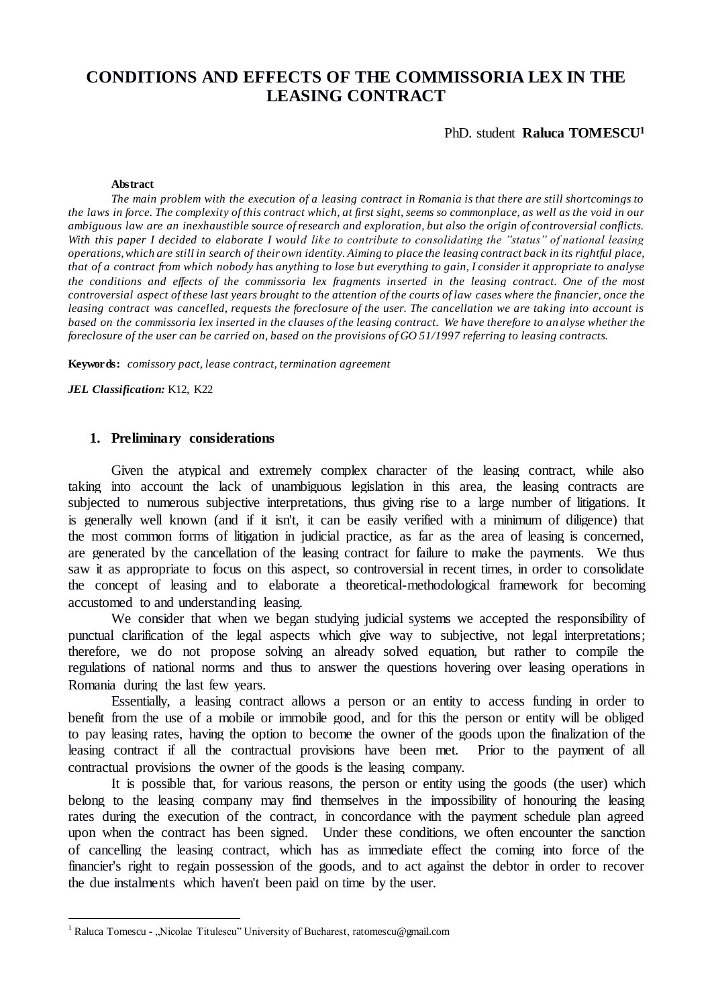# **CONDITIONS AND EFFECTS OF THE COMMISSORIA LEX IN THE LEASING CONTRACT**

PhD. student **Raluca TOMESCU<sup>1</sup>**

#### **Abstract**

*The main problem with the execution of a leasing contract in Romania is that there are still shortcomings to the laws in force. The complexity of this contract which, at first sight, seems so commonplace, as well as the void in our ambiguous law are an inexhaustible source of research and exploration, but also the origin of controversial conflicts. With this paper I decided to elaborate I would like to contribute to consolidating the "status" of national leasing operations, which are still in search of their own identity. Aiming to place the leasing contract back in its rightful place, that of a contract from which nobody has anything to lose but everything to gain, I consider it appropriate to analyse the conditions and effects of the commissoria lex fragments inserted in the leasing contract. One of the most controversial aspect of these last years brought to the attention of the courts of law cases where the financier, once the leasing contract was cancelled, requests the foreclosure of the user. The cancellation we are taking into account is based on the commissoria lex inserted in the clauses of the leasing contract. We have therefore to an alyse whether the foreclosure of the user can be carried on, based on the provisions of GO 51/1997 referring to leasing contracts.* 

**Keywords:** *comissory pact, lease contract, termination agreement*

*JEL Classification:* K12, K22

 $\overline{a}$ 

## **1. Preliminary considerations**

Given the atypical and extremely complex character of the leasing contract, while also taking into account the lack of unambiguous legislation in this area, the leasing contracts are subjected to numerous subjective interpretations, thus giving rise to a large number of litigations. It is generally well known (and if it isn't, it can be easily verified with a minimum of diligence) that the most common forms of litigation in judicial practice, as far as the area of leasing is concerned, are generated by the cancellation of the leasing contract for failure to make the payments. We thus saw it as appropriate to focus on this aspect, so controversial in recent times, in order to consolidate the concept of leasing and to elaborate a theoretical-methodological framework for becoming accustomed to and understanding leasing.

We consider that when we began studying judicial systems we accepted the responsibility of punctual clarification of the legal aspects which give way to subjective, not legal interpretations; therefore, we do not propose solving an already solved equation, but rather to compile the regulations of national norms and thus to answer the questions hovering over leasing operations in Romania during the last few years.

Essentially, a leasing contract allows a person or an entity to access funding in order to benefit from the use of a mobile or immobile good, and for this the person or entity will be obliged to pay leasing rates, having the option to become the owner of the goods upon the finalization of the leasing contract if all the contractual provisions have been met. Prior to the payment of all contractual provisions the owner of the goods is the leasing company.

It is possible that, for various reasons, the person or entity using the goods (the user) which belong to the leasing company may find themselves in the impossibility of honouring the leasing rates during the execution of the contract, in concordance with the payment schedule plan agreed upon when the contract has been signed. Under these conditions, we often encounter the sanction of cancelling the leasing contract, which has as immediate effect the coming into force of the financier's right to regain possession of the goods, and to act against the debtor in order to recover the due instalments which haven't been paid on time by the user.

<sup>&</sup>lt;sup>1</sup> Raluca Tomescu **-** "Nicolae Titulescu" University of Bucharest, ratomescu@gmail.com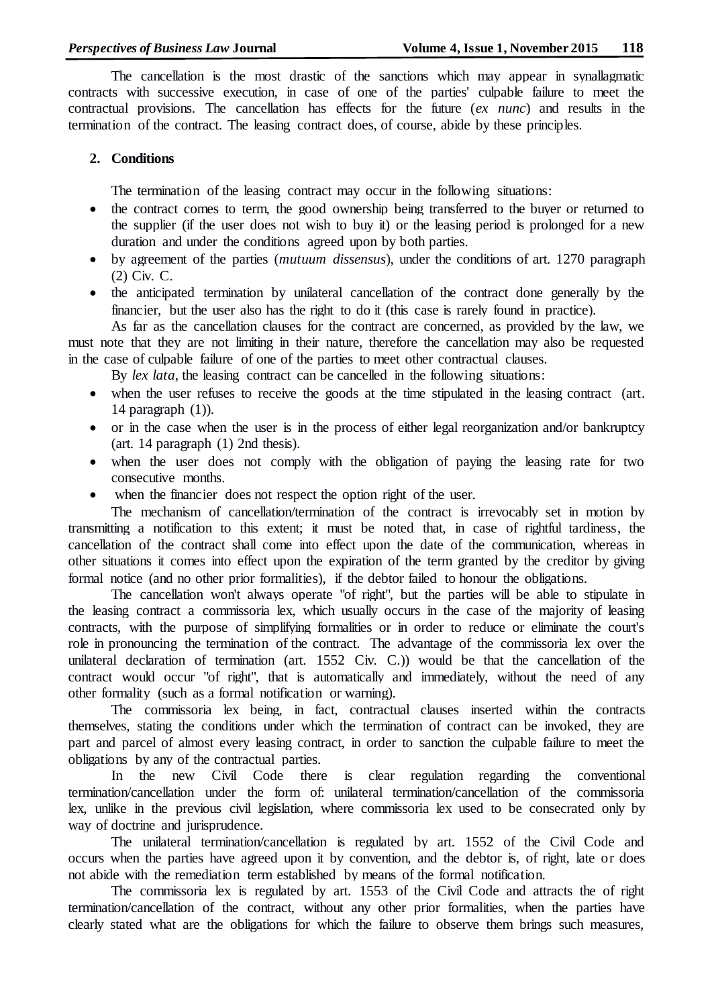The cancellation is the most drastic of the sanctions which may appear in synallagmatic contracts with successive execution, in case of one of the parties' culpable failure to meet the contractual provisions. The cancellation has effects for the future (*ex nunc*) and results in the termination of the contract. The leasing contract does, of course, abide by these principles.

# **2. Conditions**

The termination of the leasing contract may occur in the following situations:

- the contract comes to term, the good ownership being transferred to the buyer or returned to the supplier (if the user does not wish to buy it) or the leasing period is prolonged for a new duration and under the conditions agreed upon by both parties.
- by agreement of the parties (*mutuum dissensus*), under the conditions of art. 1270 paragraph (2) Civ. C.
- the anticipated termination by unilateral cancellation of the contract done generally by the financier, but the user also has the right to do it (this case is rarely found in practice).

As far as the cancellation clauses for the contract are concerned, as provided by the law, we must note that they are not limiting in their nature, therefore the cancellation may also be requested in the case of culpable failure of one of the parties to meet other contractual clauses.

By *lex lata*, the leasing contract can be cancelled in the following situations:

- when the user refuses to receive the goods at the time stipulated in the leasing contract (art. 14 paragraph (1)).
- or in the case when the user is in the process of either legal reorganization and/or bankruptcy (art. 14 paragraph (1) 2nd thesis).
- when the user does not comply with the obligation of paying the leasing rate for two consecutive months.
- when the financier does not respect the option right of the user.

The mechanism of cancellation/termination of the contract is irrevocably set in motion by transmitting a notification to this extent; it must be noted that, in case of rightful tardiness, the cancellation of the contract shall come into effect upon the date of the communication, whereas in other situations it comes into effect upon the expiration of the term granted by the creditor by giving formal notice (and no other prior formalities), if the debtor failed to honour the obligations.

The cancellation won't always operate "of right", but the parties will be able to stipulate in the leasing contract a commissoria lex, which usually occurs in the case of the majority of leasing contracts, with the purpose of simplifying formalities or in order to reduce or eliminate the court's role in pronouncing the termination of the contract. The advantage of the commissoria lex over the unilateral declaration of termination (art. 1552 Civ. C.)) would be that the cancellation of the contract would occur "of right", that is automatically and immediately, without the need of any other formality (such as a formal notification or warning).

The commissoria lex being, in fact, contractual clauses inserted within the contracts themselves, stating the conditions under which the termination of contract can be invoked, they are part and parcel of almost every leasing contract, in order to sanction the culpable failure to meet the obligations by any of the contractual parties.

In the new Civil Code there is clear regulation regarding the conventional termination/cancellation under the form of: unilateral termination/cancellation of the commissoria lex, unlike in the previous civil legislation, where commissoria lex used to be consecrated only by way of doctrine and jurisprudence.

The unilateral termination/cancellation is regulated by art. 1552 of the Civil Code and occurs when the parties have agreed upon it by convention, and the debtor is, of right, late or does not abide with the remediation term established by means of the formal notification.

The commissoria lex is regulated by art. 1553 of the Civil Code and attracts the of right termination/cancellation of the contract, without any other prior formalities, when the parties have clearly stated what are the obligations for which the failure to observe them brings such measures,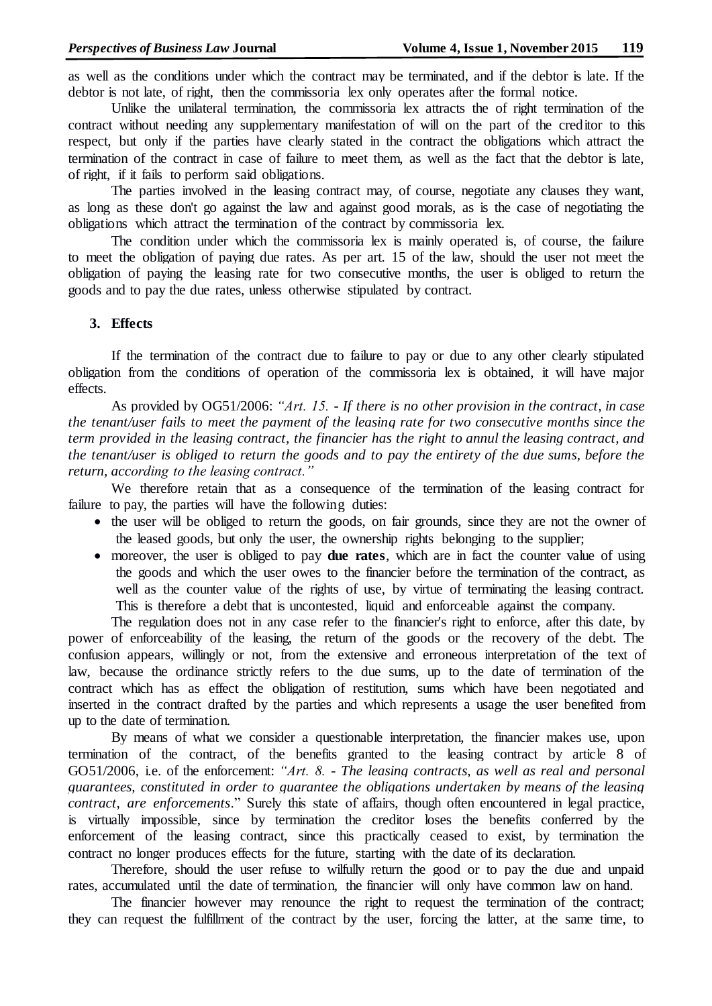as well as the conditions under which the contract may be terminated, and if the debtor is late. If the debtor is not late, of right, then the commissoria lex only operates after the formal notice.

Unlike the unilateral termination, the commissoria lex attracts the of right termination of the contract without needing any supplementary manifestation of will on the part of the creditor to this respect, but only if the parties have clearly stated in the contract the obligations which attract the termination of the contract in case of failure to meet them, as well as the fact that the debtor is late, of right, if it fails to perform said obligations.

The parties involved in the leasing contract may, of course, negotiate any clauses they want, as long as these don't go against the law and against good morals, as is the case of negotiating the obligations which attract the termination of the contract by commissoria lex.

The condition under which the commissoria lex is mainly operated is, of course, the failure to meet the obligation of paying due rates. As per art. 15 of the law, should the user not meet the obligation of paying the leasing rate for two consecutive months, the user is obliged to return the goods and to pay the due rates, unless otherwise stipulated by contract.

# **3. Effects**

If the termination of the contract due to failure to pay or due to any other clearly stipulated obligation from the conditions of operation of the commissoria lex is obtained, it will have major effects.

As provided by OG51/2006: *"Art. 15. - If there is no other provision in the contract, in case the tenant/user fails to meet the payment of the leasing rate for two consecutive months since the term provided in the leasing contract, the financier has the right to annul the leasing contract, and the tenant/user is obliged to return the goods and to pay the entirety of the due sums, before the return, according to the leasing contract."*

We therefore retain that as a consequence of the termination of the leasing contract for failure to pay, the parties will have the following duties:

- the user will be obliged to return the goods, on fair grounds, since they are not the owner of the leased goods, but only the user, the ownership rights belonging to the supplier;
- moreover, the user is obliged to pay **due rates**, which are in fact the counter value of using the goods and which the user owes to the financier before the termination of the contract, as well as the counter value of the rights of use, by virtue of terminating the leasing contract. This is therefore a debt that is uncontested, liquid and enforceable against the company.

The regulation does not in any case refer to the financier's right to enforce, after this date, by power of enforceability of the leasing, the return of the goods or the recovery of the debt. The confusion appears, willingly or not, from the extensive and erroneous interpretation of the text of law, because the ordinance strictly refers to the due sums, up to the date of termination of the contract which has as effect the obligation of restitution, sums which have been negotiated and inserted in the contract drafted by the parties and which represents a usage the user benefited from up to the date of termination.

By means of what we consider a questionable interpretation, the financier makes use, upon termination of the contract, of the benefits granted to the leasing contract by article 8 of GO51/2006, i.e. of the enforcement: "Art. 8. - The leasing contracts, as well as real and personal *guarantees, constituted in order to guarantee the obligations undertaken by means of the leasing contract, are enforcements*." Surely this state of affairs, though often encountered in legal practice, is virtually impossible, since by termination the creditor loses the benefits conferred by the enforcement of the leasing contract, since this practically ceased to exist, by termination the contract no longer produces effects for the future, starting with the date of its declaration.

Therefore, should the user refuse to wilfully return the good or to pay the due and unpaid rates, accumulated until the date of termination, the financier will only have common law on hand.

 The financier however may renounce the right to request the termination of the contract; they can request the fulfillment of the contract by the user, forcing the latter, at the same time, to